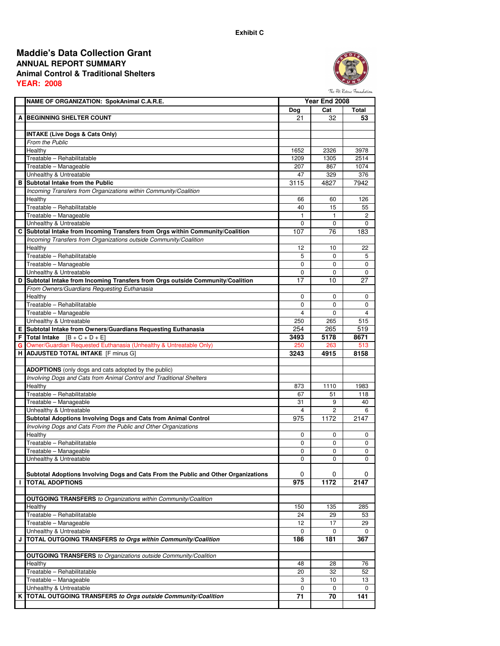## **ANNUAL REPORT SUMMARY Animal Control & Traditional Shelters YEAR: 2008 Maddie's Data Collection Grant**



The Pet Rescue Foundation

|   | NAME OF ORGANIZATION: SpokAnimal C.A.R.E.                                          |             | Year End 2008  |                |
|---|------------------------------------------------------------------------------------|-------------|----------------|----------------|
|   |                                                                                    | Dog         | Cat            | Total          |
|   | A BEGINNING SHELTER COUNT                                                          | 21          | 32             | 53             |
|   |                                                                                    |             |                |                |
|   | <b>INTAKE (Live Dogs &amp; Cats Only)</b>                                          |             |                |                |
|   | From the Public                                                                    |             |                |                |
|   | Healthy                                                                            | 1652        | 2326           | 3978           |
|   | Treatable - Rehabilitatable                                                        | 1209        | 1305           | 2514           |
|   | Treatable - Manageable                                                             | 207         | 867            | 1074           |
|   | Unhealthy & Untreatable                                                            | 47          | 329            | 376            |
| в | Subtotal Intake from the Public                                                    | 3115        | 4827           | 7942           |
|   | Incoming Transfers from Organizations within Community/Coalition                   |             |                |                |
|   | Healthy                                                                            | 66          | 60             | 126            |
|   | Treatable - Rehabilitatable                                                        | 40          | 15             | 55             |
|   | Treatable - Manageable                                                             | 1           | $\mathbf{1}$   | $\overline{2}$ |
|   | Unhealthy & Untreatable                                                            | 0           | 0              | 0              |
|   | C Subtotal Intake from Incoming Transfers from Orgs within Community/Coalition     | 107         | 76             | 183            |
|   | Incoming Transfers from Organizations outside Community/Coalition                  |             |                |                |
|   | Healthy                                                                            | 12          | 10             | 22             |
|   | Treatable - Rehabilitatable                                                        | 5           | $\Omega$       | 5              |
|   | Treatable - Manageable                                                             | $\Omega$    | 0              | 0              |
|   | Unhealthy & Untreatable                                                            | 0           | 0              | 0              |
| D | Subtotal Intake from Incoming Transfers from Orgs outside Community/Coalition      | 17          | 10             | 27             |
|   | From Owners/Guardians Requesting Euthanasia                                        |             |                |                |
|   | Healthy                                                                            | 0           | 0              | 0              |
|   | Treatable - Rehabilitatable                                                        | $\Omega$    | 0              | 0              |
|   | Treatable - Manageable                                                             | 4           | 0              | 4              |
|   | Unhealthy & Untreatable                                                            | 250         | 265            | 515            |
|   | E Subtotal Intake from Owners/Guardians Requesting Euthanasia                      | 254         | 265            | 519            |
|   | <b>F</b> Total Intake $[B + C + D + E]$                                            | 3493        | 5178           | 8671           |
|   | G Owner/Guardian Requested Euthanasia (Unhealthy & Untreatable Only)               | 250         | 263            | 513            |
|   | H ADJUSTED TOTAL INTAKE [F minus G]                                                | 3243        | 4915           | 8158           |
|   |                                                                                    |             |                |                |
|   | <b>ADOPTIONS</b> (only dogs and cats adopted by the public)                        |             |                |                |
|   | Involving Dogs and Cats from Animal Control and Traditional Shelters               |             |                |                |
|   | Healthy                                                                            | 873         | 1110           | 1983           |
|   | Treatable - Rehabilitatable                                                        | 67          | 51             | 118            |
|   | Treatable - Manageable                                                             | 31          | 9              | 40             |
|   | Unhealthy & Untreatable                                                            | 4           | $\overline{c}$ | 6              |
|   | Subtotal Adoptions Involving Dogs and Cats from Animal Control                     | 975         | 1172           | 2147           |
|   | Involving Dogs and Cats From the Public and Other Organizations                    |             |                |                |
|   | Healthy                                                                            | $\Omega$    | $\Omega$       | 0              |
|   | Treatable - Rehabilitatable                                                        | $\mathbf 0$ | 0              | 0              |
|   | Treatable - Manageable                                                             | 0           | 0              | 0              |
|   | Unhealthy & Untreatable                                                            | $\mathbf 0$ | $\Omega$       | 0              |
|   |                                                                                    |             |                |                |
|   | Subtotal Adoptions Involving Dogs and Cats From the Public and Other Organizations | 0           | 0              | 0              |
| H | <b>TOTAL ADOPTIONS</b>                                                             | 975         | 1172           | 2147           |
|   |                                                                                    |             |                |                |
|   | <b>OUTGOING TRANSFERS</b> to Organizations within Community/Coalition              |             |                |                |
|   | Healthy                                                                            | 150         | 135            | 285            |
|   | Treatable - Rehabilitatable                                                        | 24          | 29             | 53             |
|   | Treatable - Manageable                                                             | 12          | 17             | 29             |
|   | Unhealthy & Untreatable                                                            | 0           | 0              | 0              |
| J | TOTAL OUTGOING TRANSFERS to Orgs within Community/Coalition                        | 186         | 181            | 367            |
|   |                                                                                    |             |                |                |
|   | <b>OUTGOING TRANSFERS</b> to Organizations outside Community/Coalition             |             |                |                |
|   | Healthy                                                                            | 48          | 28             | 76             |
|   | Treatable - Rehabilitatable                                                        | 20          | 32             | 52             |
|   | Treatable - Manageable                                                             | 3           | 10             | 13             |
|   | Unhealthy & Untreatable                                                            | 0           | 0              | 0              |
| κ | TOTAL OUTGOING TRANSFERS to Orgs outside Community/Coalition                       | 71          | 70             | 141            |
|   |                                                                                    |             |                |                |